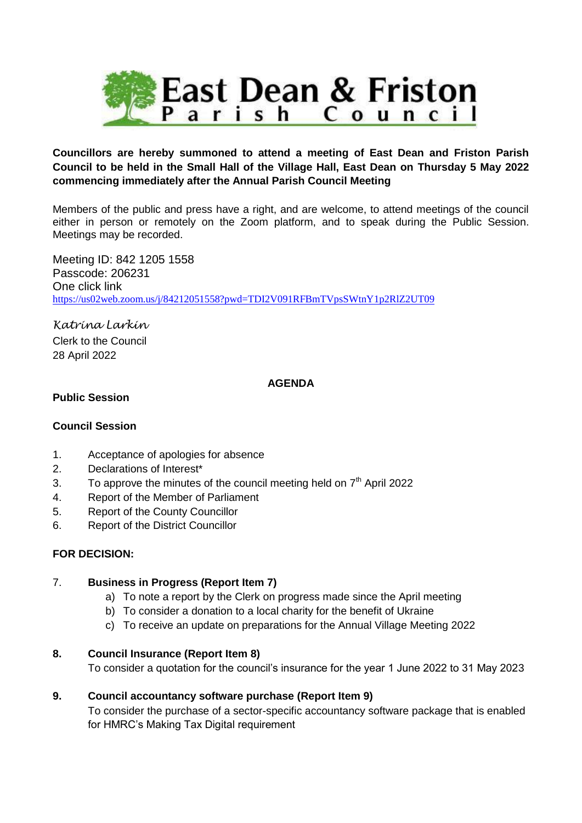

## **Councillors are hereby summoned to attend a meeting of East Dean and Friston Parish Council to be held in the Small Hall of the Village Hall, East Dean on Thursday 5 May 2022 commencing immediately after the Annual Parish Council Meeting**

Members of the public and press have a right, and are welcome, to attend meetings of the council either in person or remotely on the Zoom platform, and to speak during the Public Session. Meetings may be recorded.

Meeting ID: 842 1205 1558 Passcode: 206231 One click link <https://us02web.zoom.us/j/84212051558?pwd=TDI2V091RFBmTVpsSWtnY1p2RlZ2UT09>

*Katrina Larkin* Clerk to the Council 28 April 2022

## **AGENDA**

## **Public Session**

### **Council Session**

- 1. Acceptance of apologies for absence
- 2. Declarations of Interest\*
- 3. To approve the minutes of the council meeting held on  $7<sup>th</sup>$  April 2022
- 4. Report of the Member of Parliament
- 5. Report of the County Councillor
- 6. Report of the District Councillor

## **FOR DECISION:**

### 7. **Business in Progress (Report Item 7)**

- a) To note a report by the Clerk on progress made since the April meeting
- b) To consider a donation to a local charity for the benefit of Ukraine
- c) To receive an update on preparations for the Annual Village Meeting 2022

### **8. Council Insurance (Report Item 8)**

To consider a quotation for the council's insurance for the year 1 June 2022 to 31 May 2023

### **9. Council accountancy software purchase (Report Item 9)**

To consider the purchase of a sector-specific accountancy software package that is enabled for HMRC's Making Tax Digital requirement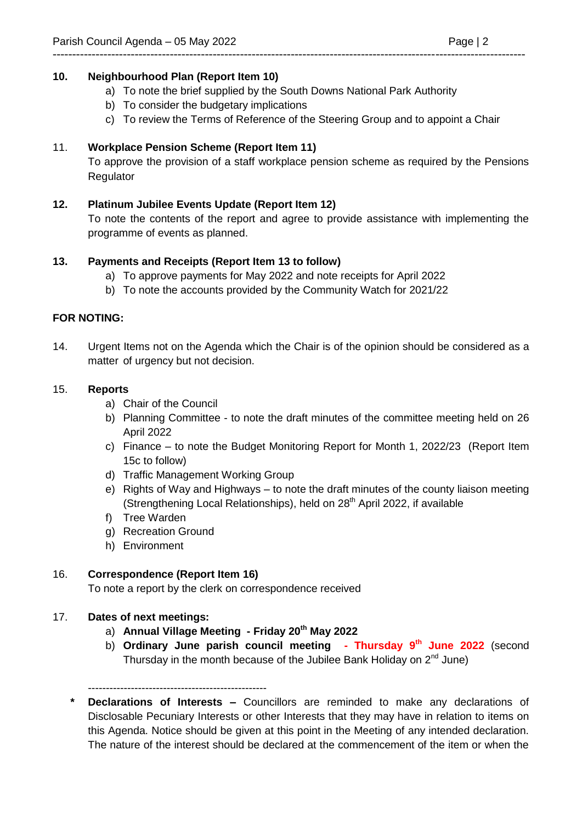# **10. Neighbourhood Plan (Report Item 10)**

a) To note the brief supplied by the South Downs National Park Authority

-------------------------------------------------------------------------------------------------------------------------

- b) To consider the budgetary implications
- c) To review the Terms of Reference of the Steering Group and to appoint a Chair

# 11. **Workplace Pension Scheme (Report Item 11)**

To approve the provision of a staff workplace pension scheme as required by the Pensions Regulator

## **12. Platinum Jubilee Events Update (Report Item 12)**

To note the contents of the report and agree to provide assistance with implementing the programme of events as planned.

## **13. Payments and Receipts (Report Item 13 to follow)**

- a) To approve payments for May 2022 and note receipts for April 2022
- b) To note the accounts provided by the Community Watch for 2021/22

### **FOR NOTING:**

14. Urgent Items not on the Agenda which the Chair is of the opinion should be considered as a matter of urgency but not decision.

### 15. **Reports**

- a) Chair of the Council
- b) Planning Committee to note the draft minutes of the committee meeting held on 26 April 2022
- c) Finance to note the Budget Monitoring Report for Month 1, 2022/23 (Report Item 15c to follow)
- d) Traffic Management Working Group
- e) Rights of Way and Highways to note the draft minutes of the county liaison meeting (Strengthening Local Relationships), held on  $28<sup>th</sup>$  April 2022, if available
- f) Tree Warden
- g) Recreation Ground
- h) Environment

## 16. **Correspondence (Report Item 16)**

To note a report by the clerk on correspondence received

## 17. **Dates of next meetings:**

- a) **Annual Village Meeting - Friday 20th May 2022**
- b) **Ordinary June parish council meeting - Thursday 9th June 2022** (second Thursday in the month because of the Jubilee Bank Holiday on 2<sup>nd</sup> June)
- --------------------------------------------------
- **\* Declarations of Interests –** Councillors are reminded to make any declarations of Disclosable Pecuniary Interests or other Interests that they may have in relation to items on this Agenda. Notice should be given at this point in the Meeting of any intended declaration. The nature of the interest should be declared at the commencement of the item or when the